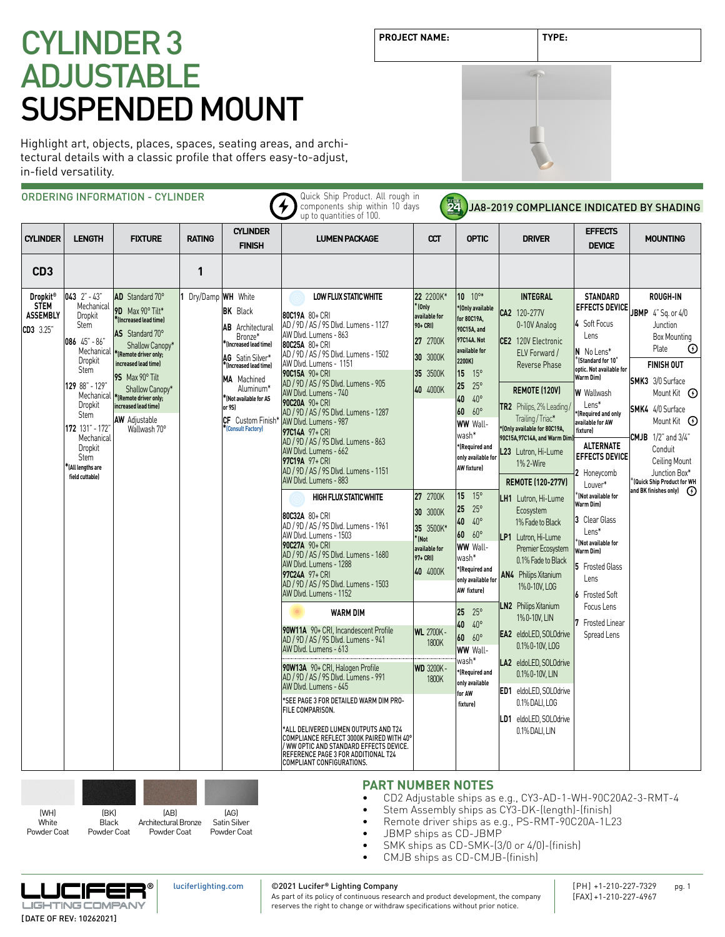Highlight art, objects, places, spaces, seating areas, and architectural details with a classic profile that offers easy-to-adjust, in-field versatility.

|                                                                |                                                                                                                                                                                                                                            | ORDERING INFORMATION - CYLINDER                                                                                                                                                                                                                                                                 |                     |                                                                                                                                                                                                                                       | Quick Ship Product. All rough in<br>components ship within 10 days<br>up to quantities of 100.                                                                                                                                                                                                                                                                                                                                                                                                                                                                                                                                                                                                                                                                                                                                                                                                                                                                                                                                                                                                                                                                                                                                                                                                                                                | 24                                                                                                                                                                                                                                                   |                                                                                                                                                                                                                                                                                                                                                                                                                                                                                                                                                                                                                                | JA8-2019 COMPLIANCE INDICATED BY SHADING                                                                                                                                                                                                                                                                                                                                                                                                                                                                                                                                                                                                                                                                                     |                                                                                                                                                                                                                                                                                                                                                                                                                                                                                                                            |                                                                                                                                                                                                                                                                                                                                                                                            |
|----------------------------------------------------------------|--------------------------------------------------------------------------------------------------------------------------------------------------------------------------------------------------------------------------------------------|-------------------------------------------------------------------------------------------------------------------------------------------------------------------------------------------------------------------------------------------------------------------------------------------------|---------------------|---------------------------------------------------------------------------------------------------------------------------------------------------------------------------------------------------------------------------------------|-----------------------------------------------------------------------------------------------------------------------------------------------------------------------------------------------------------------------------------------------------------------------------------------------------------------------------------------------------------------------------------------------------------------------------------------------------------------------------------------------------------------------------------------------------------------------------------------------------------------------------------------------------------------------------------------------------------------------------------------------------------------------------------------------------------------------------------------------------------------------------------------------------------------------------------------------------------------------------------------------------------------------------------------------------------------------------------------------------------------------------------------------------------------------------------------------------------------------------------------------------------------------------------------------------------------------------------------------|------------------------------------------------------------------------------------------------------------------------------------------------------------------------------------------------------------------------------------------------------|--------------------------------------------------------------------------------------------------------------------------------------------------------------------------------------------------------------------------------------------------------------------------------------------------------------------------------------------------------------------------------------------------------------------------------------------------------------------------------------------------------------------------------------------------------------------------------------------------------------------------------|------------------------------------------------------------------------------------------------------------------------------------------------------------------------------------------------------------------------------------------------------------------------------------------------------------------------------------------------------------------------------------------------------------------------------------------------------------------------------------------------------------------------------------------------------------------------------------------------------------------------------------------------------------------------------------------------------------------------------|----------------------------------------------------------------------------------------------------------------------------------------------------------------------------------------------------------------------------------------------------------------------------------------------------------------------------------------------------------------------------------------------------------------------------------------------------------------------------------------------------------------------------|--------------------------------------------------------------------------------------------------------------------------------------------------------------------------------------------------------------------------------------------------------------------------------------------------------------------------------------------------------------------------------------------|
| <b>CYLINDER</b>                                                | <b>LENGTH</b>                                                                                                                                                                                                                              | <b>FIXTURE</b>                                                                                                                                                                                                                                                                                  | <b>RATING</b>       | <b>CYLINDER</b><br><b>FINISH</b>                                                                                                                                                                                                      | <b>LUMEN PACKAGE</b>                                                                                                                                                                                                                                                                                                                                                                                                                                                                                                                                                                                                                                                                                                                                                                                                                                                                                                                                                                                                                                                                                                                                                                                                                                                                                                                          | $\alpha$                                                                                                                                                                                                                                             | <b>OPTIC</b>                                                                                                                                                                                                                                                                                                                                                                                                                                                                                                                                                                                                                   | <b>DRIVER</b>                                                                                                                                                                                                                                                                                                                                                                                                                                                                                                                                                                                                                                                                                                                | EFFECTS<br><b>DEVICE</b>                                                                                                                                                                                                                                                                                                                                                                                                                                                                                                   | <b>MOUNTING</b>                                                                                                                                                                                                                                                                                                                                                                            |
| CD <sub>3</sub>                                                |                                                                                                                                                                                                                                            |                                                                                                                                                                                                                                                                                                 | 1                   |                                                                                                                                                                                                                                       |                                                                                                                                                                                                                                                                                                                                                                                                                                                                                                                                                                                                                                                                                                                                                                                                                                                                                                                                                                                                                                                                                                                                                                                                                                                                                                                                               |                                                                                                                                                                                                                                                      |                                                                                                                                                                                                                                                                                                                                                                                                                                                                                                                                                                                                                                |                                                                                                                                                                                                                                                                                                                                                                                                                                                                                                                                                                                                                                                                                                                              |                                                                                                                                                                                                                                                                                                                                                                                                                                                                                                                            |                                                                                                                                                                                                                                                                                                                                                                                            |
| <b>Dropkit®</b><br><b>STEM</b><br><b>ASSEMBLY</b><br>CD3 3.25" | $043$ $2" - 43"$<br>Mechanical<br>Dropkit<br><b>Stem</b><br>086 45" - 86"<br>Dropkit<br>Stem<br>129 88" - 129"<br>Mechanical<br>Dropkit<br>Stem<br>172 131" - 172"<br>Mechanical<br>Dropkit<br>Stem<br>KAll lengths are<br>field cuttable) | AD Standard 70°<br>9D Max 90° Tilt*<br>*(Increased lead time)<br>AS Standard 70°<br>Shallow Canopy*<br>Mechanical  *(Remote driver only;<br>increased lead time)<br>95 Max 90° Tilt<br>Shallow Canopy*<br>*(Remote driver only;<br>increased lead time)<br><b>AW</b> Adjustable<br>Wallwash 70° | 1 Dry/Damp WH White | <b>BK</b> Black<br><b>AB</b> Architectural<br>Bronze*<br>flncreased lead time)<br>AG Satin Silver*<br>*(Increased lead time)<br>MA Machined<br>Aluminum*<br>KNot available for AS<br>or 95)<br>CF Custom Finish*<br>(Consult Factory) | LOW FLUX STATIC WHITE<br>80C19A 80+ CRI<br>AD / 9D / AS / 9S Dlvd. Lumens - 1127<br>AW Dlvd. Lumens - 863<br>80C25A 80+ CRI<br>AD / 9D / AS / 9S Dlvd. Lumens - 1502<br>AW Dlvd. Lumens - 1151<br>90C15A 90+ CRI<br>AD / 9D / AS / 9S Dlvd. Lumens - 905<br>AW Dlvd. Lumens - 740<br>90C20A 90+ CRI<br>AD / 9D / AS / 9S Dlvd. Lumens - 1287<br>AW Dlvd. Lumens - 987<br>97C14A 97+ CRI<br>AD / 9D / AS / 9S Dlvd. Lumens - 863<br>AW Dlvd. Lumens - 662<br>97C19A 97+ CRI<br>AD / 9D / AS / 9S Dlvd. Lumens - 1151<br>AW Dlvd. Lumens - 883<br><b>HIGH FLUX STATIC WHITE</b><br>80C32A 80+ CRI<br>AD / 9D / AS / 9S Dlvd. Lumens - 1961<br>AW Dlvd. Lumens - 1503<br>90C27A 90+ CRI<br>AD / 9D / AS / 9S Dlvd. Lumens - 1680<br>AW Dlvd. Lumens - 1288<br>97C24A 97+ CRI<br>AD / 9D / AS / 9S Dlvd. Lumens - 1503<br>AW Dlvd. Lumens - 1152<br><b>WARM DIM</b><br>90W11A 90+ CRI. Incandescent Profile<br>AD / 9D / AS / 9S Dlvd. Lumens - 941<br>AW Dlvd. Lumens - 613<br>90W13A 90+ CRI, Halogen Profile<br>AD / 9D / AS / 9S Dlvd. Lumens - 991<br>AW Dlvd. Lumens - 645<br>*SEE PAGE 3 FOR DETAILED WARM DIM PRO-<br>FILE COMPARISON.<br>*ALL DELIVERED LUMEN OUTPUTS AND T24<br>COMPLIANCE REFLECT 3000K PAIRED WITH 40°<br>/ WW OPTIC AND STANDARD EFFECTS DEVICE.<br>REFERENCE PAGE 3 FOR ADDITIONAL T24<br>COMPLIANT CONFIGURATIONS. | 22 2200K*<br>$*$ (Only<br>available for<br>90+ CRI)<br>27 2700K<br>30 3000K<br>35 3500K<br>40 4000K<br>27 2700K<br>30 3000K<br>35 3500K*<br>K (Not<br>available for<br>97+ CRI)<br>40 4000K<br><b>WL 2700K</b><br>1800K<br><b>WD 3200K-</b><br>1800K | 10 10 <sup>o*</sup><br>*(Only available<br>for 80C19A,<br>90C15A, and<br>97C14A. Not<br>available for<br>2200K)<br>$15 \t 15^{\circ}$<br>25<br>$25^{\circ}$<br>40<br>$40^{\circ}$<br>60 60°<br><b>WW Wall-</b><br>wash*<br>*(Required and<br>only available for<br>AW fixture)<br>$15 \t 15^{\circ}$<br>25<br>$25^{\circ}$<br>40<br>$40^{\circ}$<br>$60.60^{\circ}$<br><b>WW Wall-</b><br>wash*<br>*(Required and<br>only available for<br>AW fixture)<br>25 <sub>1</sub><br>$25^{\circ}$<br>40<br>$40^{\circ}$<br>$60.60^{\circ}$<br><b>WW Wall-</b><br>wash*<br><b>(Required and</b><br>only available<br>for AW<br>fixture) | <b>INTEGRAL</b><br>CA2 120-277V<br>0-10V Analog<br>CE2 120V Electronic<br>ELV Forward /<br>Reverse Phase<br><b>REMOTE (120V)</b><br>TR2 Philips, 2% Leading<br>Trailing / Triac*<br>*(Only available for 80C19A,<br>90C15A, 97C14A, and Warm Dim)<br>L23 Lutron, Hi-Lume<br>1% 2-Wire<br><b>REMOTE (120-277V)</b><br>LH1 Lutron, Hi-Lume<br>Ecosystem<br>1% Fade to Black<br>LP1 Lutron, Hi-Lume<br>Premier Ecosystem<br>0.1% Fade to Black<br>AN4 Philips Xitanium<br>1% 0-10V, LOG<br><b>LN2</b> Philips Xitanium<br>1%0-10V, LIN<br><b>EA2</b> eldoLED, SOLOdrive<br>0.1% 0-10V, LOG<br>LA2 eldoLED, SOLOdrive<br>0.1% 0-10V, LIN<br>ED1 eldoLED, SOLOdrive<br>0.1% DALI, LOG<br>LD1 eldoLED. SOLOdrive<br>0.1% DALI, LIN | <b>STANDARD</b><br><b>EFFECTS DEVICE</b><br>4 Soft Focus<br>Lens<br>N No Lens*<br>*IStandard for 10°<br>optic. Not available for<br>Warm Dim)<br><b>W</b> Wallwash<br>Lens*<br>*(Required and only<br>available for AW<br>fixture)<br><b>ALTERNATE</b><br><b>EFFECTS DEVICE</b><br>2 Honeycomb<br>Louver*<br>(Not available for<br><b>Warm Diml</b><br>3 Clear Glass<br>Lens*<br>(Not available for<br>Warm Diml<br>5 Frosted Glass<br>Lens<br><b>6</b> Frosted Soft<br>Focus Lens<br><b>Frosted Linear</b><br>Spread Lens | <b>ROUGH-IN</b><br>JBMP 4" Sq. or 4/0<br>Junction<br><b>Box Mounting</b><br>Plate<br>$\odot$<br><b>FINISH OUT</b><br><b>SMK3</b> 3/0 Surface<br>Mount Kit <b>①</b><br>SMK4 4/0 Surface<br>Mount Kit $\Theta$<br><b>CMJB</b> $1/2$ " and $3/4$ "<br>Conduit<br>Ceiling Mount<br>Junction Box*<br>(Quick Ship Product for WH<br>and BK finishes only) $\qquad \qquad \textcircled{\small{}}$ |
|                                                                |                                                                                                                                                                                                                                            |                                                                                                                                                                                                                                                                                                 |                     |                                                                                                                                                                                                                                       |                                                                                                                                                                                                                                                                                                                                                                                                                                                                                                                                                                                                                                                                                                                                                                                                                                                                                                                                                                                                                                                                                                                                                                                                                                                                                                                                               |                                                                                                                                                                                                                                                      |                                                                                                                                                                                                                                                                                                                                                                                                                                                                                                                                                                                                                                |                                                                                                                                                                                                                                                                                                                                                                                                                                                                                                                                                                                                                                                                                                                              |                                                                                                                                                                                                                                                                                                                                                                                                                                                                                                                            |                                                                                                                                                                                                                                                                                                                                                                                            |



**PART NUMBER NOTES**

- CD2 Adjustable ships as e.g., CY3-AD-1-WH-90C20A2-3-RMT-4
- Stem Assembly ships as CY3-DK-(length)-(finish)
- Remote driver ships as e.g., PS-RMT-90C20A-1L23
- JBMP ships as CD-JBMP
- SMK ships as CD-SMK- $(3/0 \text{ or } 4/0)$ - $(\text{finish})$ <br>• CM IB ships as CD-CM IB- $(\text{finish})$
- CMJB ships as CD-CMJB-(finish)





## ©2021 Lucifer**®** Lighting Company

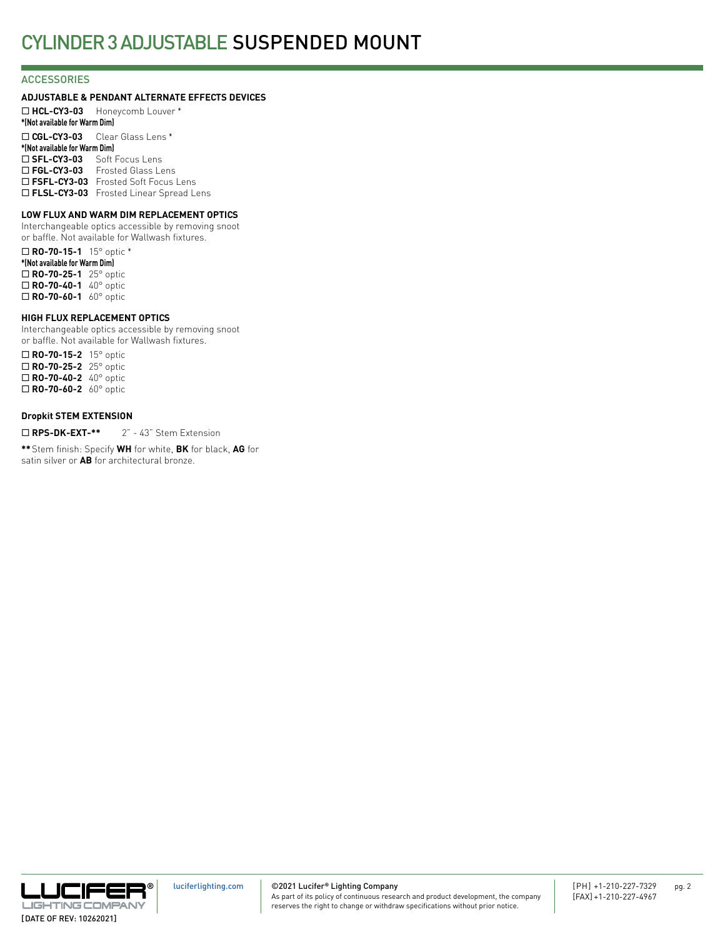## **ACCESSORIES**

## **ADJUSTABLE & PENDANT ALTERNATE EFFECTS DEVICES**

¨ **HCL-CY3-03** Honeycomb Louver \* **\*(Not available for Warm Dim)** ¨ **CGL-CY3-03** Clear Glass Lens \* **\*(Not available for Warm Dim)** □ SFL-CY3-03 Soft Focus Lens □ FGL-CY3-03 Frosted Glass Lens □ FSFL-CY3-03 Frosted Soft Focus Lens □ FLSL-CY3-03 Frosted Linear Spread Lens

## **LOW FLUX AND WARM DIM REPLACEMENT OPTICS**

Interchangeable optics accessible by removing snoot or baffle. Not available for Wallwash fixtures.

¨ **RO-70-15-1** 15° optic \* **\*(Not available for Warm Dim)** ¨ **RO-70-25-1** 25° optic ¨ **RO-70-40-1** 40° optic □ **RO-70-60-1** 60° optic

## **HIGH FLUX REPLACEMENT OPTICS**

Interchangeable optics accessible by removing snoot or baffle. Not available for Wallwash fixtures.

¨ **RO-70-15-2** 15° optic □ **RO-70-25-2** 25° optic ¨ **RO-70-40-2** 40° optic ¨ **RO-70-60-2** 60° optic

## **Dropkit STEM EXTENSION**

□ RPS-DK-EXT-\*\* 2" - 43" Stem Extension

**\*\***Stem finish: Specify **WH** for white, **BK** for black, **AG** for satin silver or **AB** for architectural bronze.

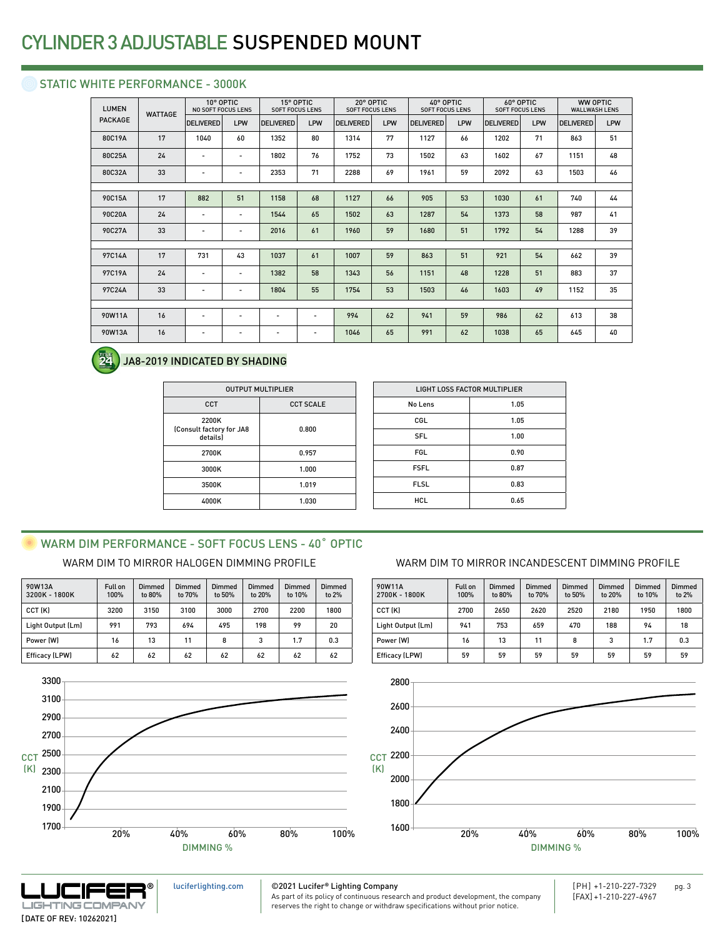## STATIC WHITE PERFORMANCE - 3000K

| <b>WATTAGE</b> | <b>DELIVERED</b>         | LPW                      | <b>DELIVERED</b>                       | LPW                      | <b>DELIVERED</b>                    | <b>LPW</b> | <b>DELIVERED</b>                    | LPW | <b>DELIVERED</b>                    | LPW | <b>DELIVERED</b>                    | LPW                                     |
|----------------|--------------------------|--------------------------|----------------------------------------|--------------------------|-------------------------------------|------------|-------------------------------------|-----|-------------------------------------|-----|-------------------------------------|-----------------------------------------|
| 17             | 1040                     | 60                       | 1352                                   | 80                       | 1314                                | 77         | 1127                                | 66  | 1202                                | 71  | 863                                 | 51                                      |
| 24             | $\overline{\phantom{a}}$ | $\overline{\phantom{a}}$ | 1802                                   | 76                       | 1752                                | 73         | 1502                                | 63  | 1602                                | 67  | 1151                                | 48                                      |
| 33             | $\overline{\phantom{0}}$ | $\overline{\phantom{a}}$ | 2353                                   | 71                       | 2288                                | 69         | 1961                                | 59  | 2092                                | 63  | 1503                                | 46                                      |
|                |                          |                          |                                        |                          |                                     |            |                                     |     |                                     |     |                                     |                                         |
| 17             | 882                      | 51                       | 1158                                   | 68                       | 1127                                | 66         | 905                                 | 53  | 1030                                | 61  | 740                                 | 44                                      |
| 24             | $\overline{\phantom{a}}$ | $\overline{\phantom{a}}$ | 1544                                   | 65                       | 1502                                | 63         | 1287                                | 54  | 1373                                | 58  | 987                                 | 41                                      |
| 33             | $\overline{a}$           | $\overline{\phantom{a}}$ | 2016                                   | 61                       | 1960                                | 59         | 1680                                | 51  | 1792                                | 54  | 1288                                | 39                                      |
|                |                          |                          |                                        |                          |                                     |            |                                     |     |                                     |     |                                     |                                         |
| 17             | 731                      | 43                       | 1037                                   | 61                       | 1007                                | 59         | 863                                 | 51  | 921                                 | 54  | 662                                 | 39                                      |
| 24             | $\overline{\phantom{a}}$ | $\overline{\phantom{a}}$ | 1382                                   | 58                       | 1343                                | 56         | 1151                                | 48  | 1228                                | 51  | 883                                 | 37                                      |
| 33             | $\overline{a}$           | $\overline{\phantom{a}}$ | 1804                                   | 55                       | 1754                                | 53         | 1503                                | 46  | 1603                                | 49  | 1152                                | 35                                      |
|                |                          |                          |                                        |                          |                                     |            |                                     |     |                                     |     |                                     |                                         |
| 16             | $\overline{\phantom{a}}$ | $\overline{\phantom{a}}$ | $\overline{\phantom{a}}$               | $\overline{\phantom{a}}$ | 994                                 | 62         | 941                                 | 59  | 986                                 | 62  | 613                                 | 38                                      |
| 16             | $\overline{\phantom{a}}$ | $\overline{\phantom{a}}$ | $\overline{a}$                         | $\overline{a}$           | 1046                                | 65         | 991                                 | 62  | 1038                                | 65  | 645                                 | 40                                      |
|                |                          |                          | 10° OPTIC<br><b>NO SOFT FOCUS LENS</b> |                          | 15° OPTIC<br><b>SOFT FOCUS LENS</b> |            | 20° OPTIC<br><b>SOFT FOCUS LENS</b> |     | 40° OPTIC<br><b>SOFT FOCUS LENS</b> |     | 60° OPTIC<br><b>SOFT FOCUS LENS</b> | <b>WW OPTIC</b><br><b>WALLWASH LENS</b> |

#### 24 JA8-2019 INDICATED BY SHADING

| <b>OUTPUT MULTIPLIER</b>                      |                  |  |  |  |  |
|-----------------------------------------------|------------------|--|--|--|--|
| CCT                                           | <b>CCT SCALE</b> |  |  |  |  |
| 2200K<br>(Consult factory for JA8<br>details) | 0.800            |  |  |  |  |
| 2700K                                         | 0.957            |  |  |  |  |
| 3000K                                         | 1.000            |  |  |  |  |
| 3500K                                         | 1.019            |  |  |  |  |
| 4000K                                         | 1.030            |  |  |  |  |

| <b>LIGHT LOSS FACTOR MULTIPLIER</b> |      |  |  |  |
|-------------------------------------|------|--|--|--|
| No Lens                             | 1.05 |  |  |  |
| CGL                                 | 1.05 |  |  |  |
| <b>SFL</b>                          | 1.00 |  |  |  |
| <b>FGL</b>                          | 0.90 |  |  |  |
| <b>FSFL</b>                         | 0.87 |  |  |  |
| <b>FLSL</b>                         | 0.83 |  |  |  |
| <b>HCL</b>                          | 0.65 |  |  |  |
|                                     |      |  |  |  |

## WARM DIM PERFORMANCE - SOFT FOCUS LENS - 40° OPTIC

| 90W13A<br>3200K - 1800K | <b>Full on</b><br>100% | Dimmed<br>to 80% | Dimmed<br>to 70% | Dimmed<br>to 50% | Dimmed<br>to 20% | <b>Dimmed</b><br>to 10% | <b>Dimmed</b><br>to 2% |
|-------------------------|------------------------|------------------|------------------|------------------|------------------|-------------------------|------------------------|
| CCT (K)                 | 3200                   | 3150             | 3100             | 3000             | 2700             | 2200                    | 1800                   |
| Light Output (Lm)       | 991                    | 793              | 694              | 495              | 198              | 99                      | 20                     |
| Power (W)               | 16                     | 13               | 11               | 8                | 3                | 1.7                     | 0.3                    |
| Efficacy (LPW)          | 62                     | 62               | 62               | 62               | 62               | 62                      | 62                     |



## WARM DIM TO MIRROR HALOGEN DIMMING PROFILE WARM DIM TO MIRROR INCANDESCENT DIMMING PROFILE

| 90W11A<br>2700K - 1800K | Full on<br>100% | Dimmed<br>to 80% | <b>Dimmed</b><br>to 70% | Dimmed<br>to 50% | Dimmed<br>to 20% | Dimmed<br>to 10% | Dimmed<br>to 2% |
|-------------------------|-----------------|------------------|-------------------------|------------------|------------------|------------------|-----------------|
| CCT (K)                 | 2700            | 2650             | 2620                    | 2520             | 2180             | 1950             | 1800            |
| Light Output (Lm)       | 941             | 753              | 659                     | 470              | 188              | 94               | 18              |
| Power (W)               | 16              | 13               | 11                      | 8                | 3                | 1.7              | 0.3             |
| Efficacy (LPW)          | 59              | 59               | 59                      | 59               | 59               | 59               | 59              |





©2021 Lucifer**®** Lighting Company [luciferlighting.com](http://luciferlighting.com/)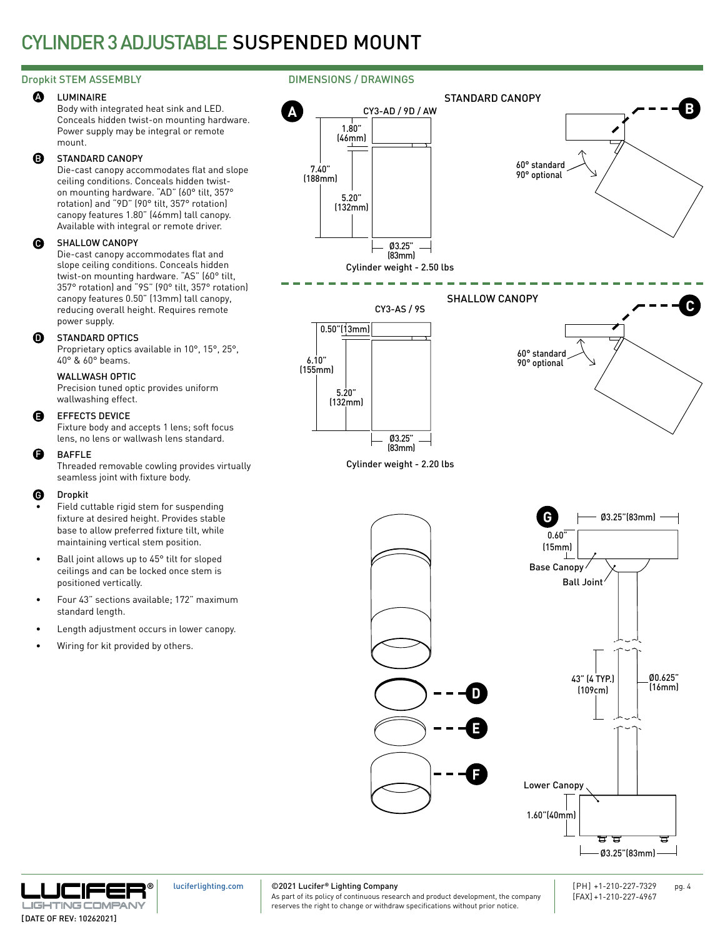#### LUMINAIRE **A**

Body with integrated heat sink and LED. Conceals hidden twist-on mounting hardware. Power supply may be integral or remote mount.

#### STANDARD CANOPY B

Die-cast canopy accommodates flat and slope ceiling conditions. Conceals hidden twiston mounting hardware. "AD" (60° tilt, 357° rotation) and "9D" (90° tilt, 357° rotation) canopy features 1.80" (46mm) tall canopy. Available with integral or remote driver.

#### SHALLOW CANOPY  $\mathbf \Theta$

Die-cast canopy accommodates flat and slope ceiling conditions. Conceals hidden twist-on mounting hardware. "AS" (60° tilt, 357° rotation) and "9S" (90° tilt, 357° rotation) canopy features 0.50" (13mm) tall canopy, reducing overall height. Requires remote power supply.

#### STANDARD OPTICS **ጠ**

Proprietary optics available in 10°, 15°, 25°, 40° & 60° beams.

## WALLWASH OPTIC

Precision tuned optic provides uniform wallwashing effect.

#### EFFECTS DEVICE E

Fixture body and accepts 1 lens; soft focus lens, no lens or wallwash lens standard.

#### BAFFLE F

Threaded removable cowling provides virtually seamless joint with fixture body.

#### Dropkit G

- Field cuttable rigid stem for suspending fixture at desired height. Provides stable base to allow preferred fixture tilt, while maintaining vertical stem position.
- Ball joint allows up to 45° tilt for sloped ceilings and can be locked once stem is positioned vertically.
- Four 43" sections available; 172" maximum standard length.
- Length adjustment occurs in lower canopy.
- Wiring for kit provided by others.

## Dropkit STEM ASSEMBLY **DIMENSIONS** / DRAWINGS





[luciferlighting.com](http://luciferlighting.com/)

©2021 Lucifer**®** Lighting Company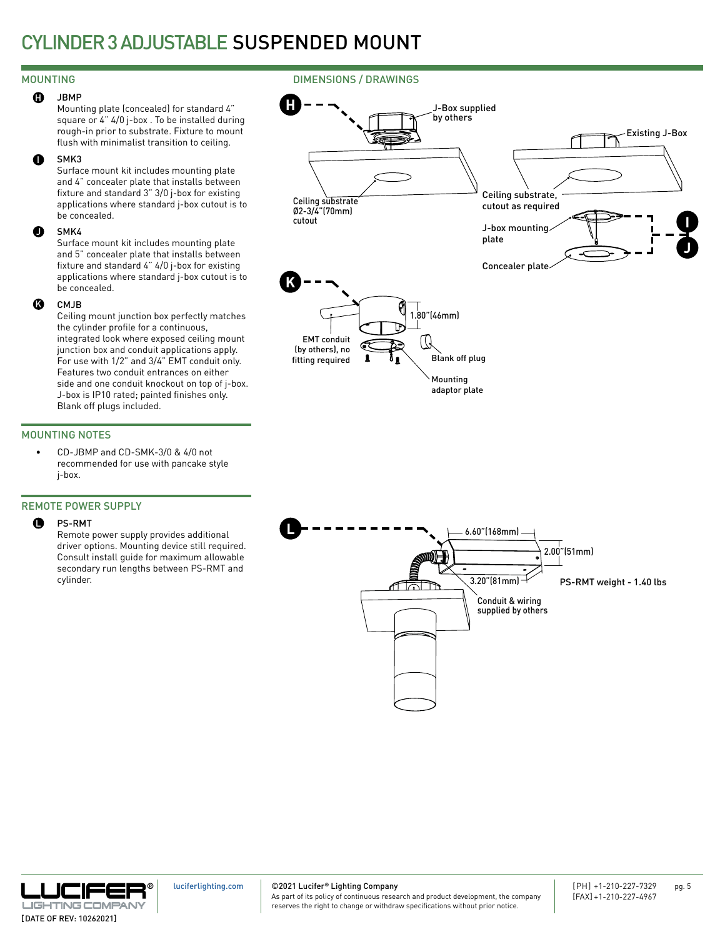## MOUNTING

#### JBMP  $\mathbf{G}$

Mounting plate (concealed) for standard 4" square or 4" 4/0 j-box . To be installed during rough-in prior to substrate. Fixture to mount flush with minimalist transition to ceiling.

#### SMK3 I

Surface mount kit includes mounting plate and 4" concealer plate that installs between fixture and standard 3" 3/0 j-box for existing applications where standard j-box cutout is to be concealed.

#### SMK4  $\bf o$

Surface mount kit includes mounting plate and 5" concealer plate that installs between fixture and standard 4" 4/0 j-box for existing applications where standard j-box cutout is to be concealed.

#### CM<sub>IR</sub>  $\boldsymbol{\Omega}$

Ceiling mount junction box perfectly matches the cylinder profile for a continuous, integrated look where exposed ceiling mount junction box and conduit applications apply. For use with 1/2" and 3/4" EMT conduit only. Features two conduit entrances on either side and one conduit knockout on top of j-box. J-box is IP10 rated; painted finishes only. Blank off plugs included.

## MOUNTING NOTES

• CD-JBMP and CD-SMK-3/0 & 4/0 not recommended for use with pancake style j-box.

### REMOTE POWER SUPPLY

#### PS-RMT  $\mathbf 0$

Remote power supply provides additional driver options. Mounting device still required. Consult install guide for maximum allowable secondary run lengths between PS-RMT and cylinder.



J-Box supplied by others

DIMENSIONS / DRAWINGS

**H**





[luciferlighting.com](http://luciferlighting.com/)

©2021 Lucifer**®** Lighting Company

As part of its policy of continuous research and product development, the company reserves the right to change or withdraw specifications without prior notice.

Existing J-Box

**J**

**I**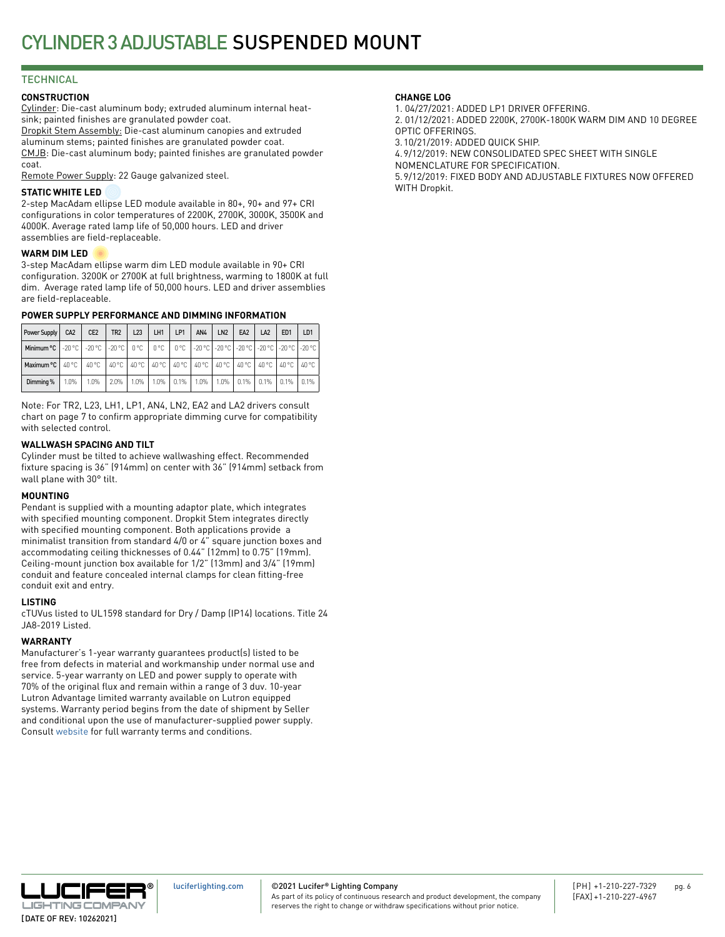## **TECHNICAL**

## **CONSTRUCTION**

Cylinder: Die-cast aluminum body; extruded aluminum internal heatsink; painted finishes are granulated powder coat. Dropkit Stem Assembly: Die-cast aluminum canopies and extruded aluminum stems; painted finishes are granulated powder coat. CMJB: Die-cast aluminum body; painted finishes are granulated powder coat.

Remote Power Supply: 22 Gauge galvanized steel.

## **STATIC WHITE LED**

2-step MacAdam ellipse LED module available in 80+, 90+ and 97+ CRI configurations in color temperatures of 2200K, 2700K, 3000K, 3500K and 4000K. Average rated lamp life of 50,000 hours. LED and driver assemblies are field-replaceable.

### **WARM DIM LED**

3-step MacAdam ellipse warm dim LED module available in 90+ CRI configuration. 3200K or 2700K at full brightness, warming to 1800K at full dim. Average rated lamp life of 50,000 hours. LED and driver assemblies are field-replaceable.

## **POWER SUPPLY PERFORMANCE AND DIMMING INFORMATION**

| Power Supply                                                                                                       | CA <sub>2</sub> | CE <sub>2</sub>                                                               | TR <sub>2</sub> | L23     | LH1 | LP1          | AN4     | LN <sub>2</sub> | EA <sub>2</sub>       | LA <sub>2</sub> | ED <sub>1</sub> | LD <sub>1</sub> |
|--------------------------------------------------------------------------------------------------------------------|-----------------|-------------------------------------------------------------------------------|-----------------|---------|-----|--------------|---------|-----------------|-----------------------|-----------------|-----------------|-----------------|
| Minimum °C   -20 °C   -20 °C   -20 °C   -20 °C   0 °C   0 °C   -20 °C   -20 °C   -20 °C   -20 °C   -20 °C   -20 °C |                 |                                                                               |                 |         |     |              |         |                 |                       |                 |                 |                 |
| Maximum $\degree$ C   40 $\degree$ C                                                                               |                 | 40 °C   40 °C   40 °C   40 °C   40 °C   40 °C   40 °C   40 °C   40 °C   40 °C |                 |         |     |              |         |                 |                       |                 |                 | 40 °C           |
| Dimming %                                                                                                          | 1.0%            | 1.0%                                                                          | $2.0\%$         | $1.0\%$ |     | $1.0\%$ 0.1% | $1.0\%$ |                 | $1.0\%$   0.1%   0.1% |                 | 0.1%   0.1%     |                 |

Note: For TR2, L23, LH1, LP1, AN4, LN2, EA2 and LA2 drivers consult chart on page 7 to confirm appropriate dimming curve for compatibility with selected control.

## **WALLWASH SPACING AND TILT**

Cylinder must be tilted to achieve wallwashing effect. Recommended fixture spacing is 36" (914mm) on center with 36" (914mm) setback from wall plane with 30° tilt.

### **MOUNTING**

Pendant is supplied with a mounting adaptor plate, which integrates with specified mounting component. Dropkit Stem integrates directly with specified mounting component. Both applications provide a minimalist transition from standard 4/0 or 4" square junction boxes and accommodating ceiling thicknesses of 0.44" (12mm) to 0.75" (19mm). Ceiling-mount junction box available for 1/2" (13mm) and 3/4" (19mm) conduit and feature concealed internal clamps for clean fitting-free conduit exit and entry.

### **LISTING**

cTUVus listed to UL1598 standard for Dry / Damp (IP14) locations. Title 24 JA8-2019 Listed.

## **WARRANTY**

Manufacturer's 1-year warranty guarantees product(s) listed to be free from defects in material and workmanship under normal use and service. 5-year warranty on LED and power supply to operate with 70% of the original flux and remain within a range of 3 duv. 10-year Lutron Advantage limited warranty available on Lutron equipped systems. Warranty period begins from the date of shipment by Seller and conditional upon the use of manufacturer-supplied power supply. Consult [website](http://luciferlighting.com/Resources/Full-Warranty) for full warranty terms and conditions.

## **CHANGE LOG**

1. 04/27/2021: ADDED LP1 DRIVER OFFERING. 2. 01/12/2021: ADDED 2200K, 2700K-1800K WARM DIM AND 10 DEGREE OPTIC OFFERINGS. 3.10/21/2019: ADDED QUICK SHIP. 4.9/12/2019: NEW CONSOLIDATED SPEC SHEET WITH SINGLE

NOMENCLATURE FOR SPECIFICATION.

5.9/12/2019: FIXED BODY AND ADJUSTABLE FIXTURES NOW OFFERED

WITH Dropkit.